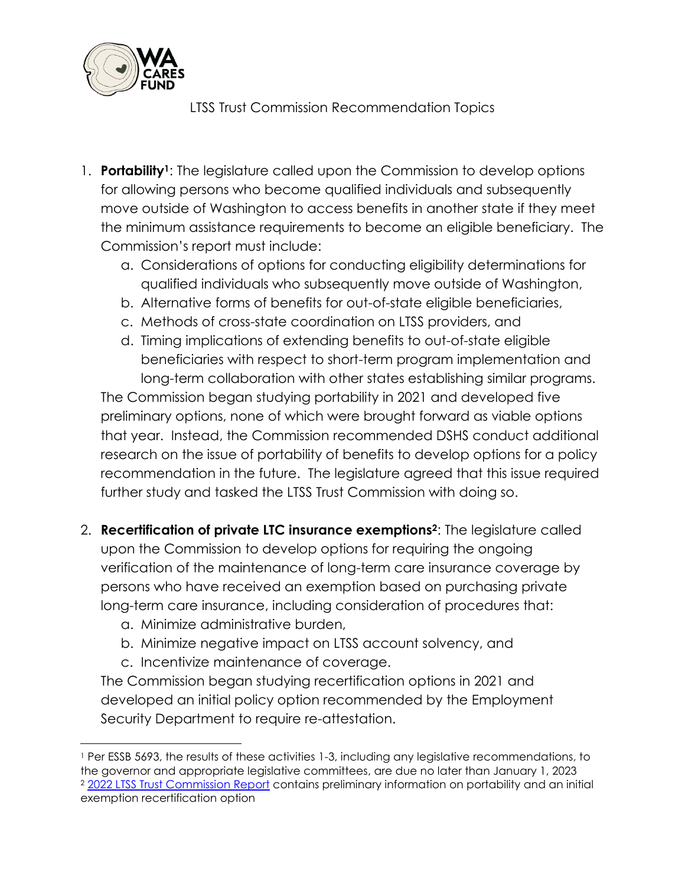

LTSS Trust Commission Recommendation Topics

- 1. **Portability1**: The legislature called upon the Commission to develop options for allowing persons who become qualified individuals and subsequently move outside of Washington to access benefits in another state if they meet the minimum assistance requirements to become an eligible beneficiary. The Commission's report must include:
	- a. Considerations of options for conducting eligibility determinations for qualified individuals who subsequently move outside of Washington,
	- b. Alternative forms of benefits for out-of-state eligible beneficiaries,
	- c. Methods of cross-state coordination on LTSS providers, and
	- d. Timing implications of extending benefits to out-of-state eligible beneficiaries with respect to short-term program implementation and long-term collaboration with other states establishing similar programs.

The Commission began studying portability in 2021 and developed five preliminary options, none of which were brought forward as viable options that year. Instead, the Commission recommended DSHS conduct additional research on the issue of portability of benefits to develop options for a policy recommendation in the future. The legislature agreed that this issue required further study and tasked the LTSS Trust Commission with doing so.

- 2. **Recertification of private LTC insurance exemptions2**: The legislature called upon the Commission to develop options for requiring the ongoing verification of the maintenance of long-term care insurance coverage by persons who have received an exemption based on purchasing private long-term care insurance, including consideration of procedures that:
	- a. Minimize administrative burden,
	- b. Minimize negative impact on LTSS account solvency, and
	- c. Incentivize maintenance of coverage.

The Commission began studying recertification options in 2021 and developed an initial policy option recommended by the Employment Security Department to require re-attestation.

<sup>1</sup> Per ESSB 5693, the results of these activities 1-3, including any legislative recommendations, to the governor and appropriate legislative committees, are due no later than January 1, 2023 <sup>2</sup> [2022 LTSS Trust Commission Report](https://app.leg.wa.gov/ReportsToTheLegislature/Home/GetPDF?fileName=LTSS%20Trust%20Commission%20Recommendations%20Report%20Jan%201%202022_f09fd8a2-2611-4f4f-bd67-575e03a3e8ea.pdf) contains preliminary information on portability and an initial exemption recertification option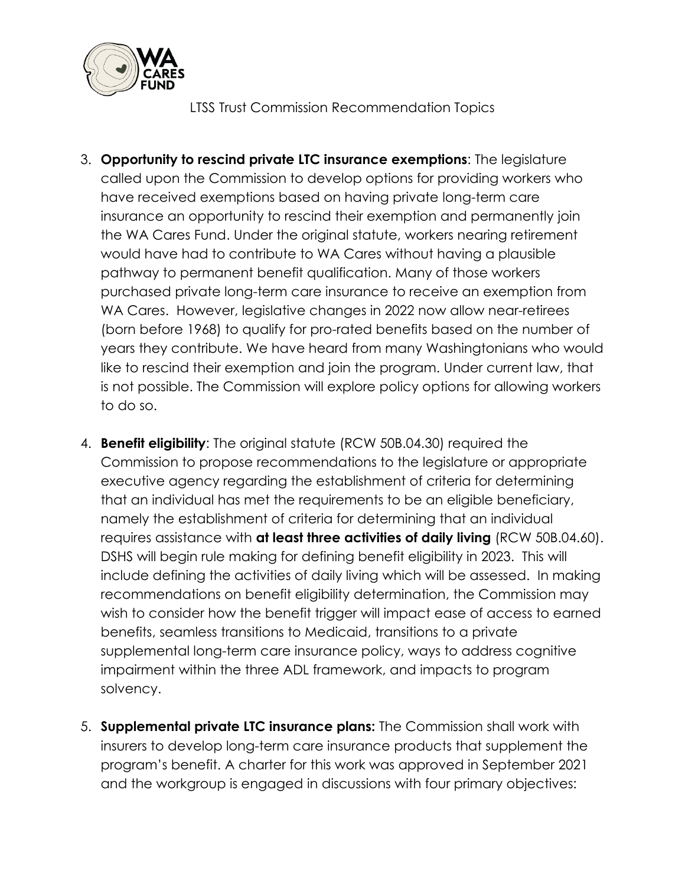

LTSS Trust Commission Recommendation Topics

- 3. **Opportunity to rescind private LTC insurance exemptions**: The legislature called upon the Commission to develop options for providing workers who have received exemptions based on having private long-term care insurance an opportunity to rescind their exemption and permanently join the WA Cares Fund. Under the original statute, workers nearing retirement would have had to contribute to WA Cares without having a plausible pathway to permanent benefit qualification. Many of those workers purchased private long-term care insurance to receive an exemption from WA Cares. However, legislative changes in 2022 now allow near-retirees (born before 1968) to qualify for pro-rated benefits based on the number of years they contribute. We have heard from many Washingtonians who would like to rescind their exemption and join the program. Under current law, that is not possible. The Commission will explore policy options for allowing workers to do so.
- 4. **Benefit eligibility**: The original statute (RCW 50B.04.30) required the Commission to propose recommendations to the legislature or appropriate executive agency regarding the establishment of criteria for determining that an individual has met the requirements to be an eligible beneficiary, namely the establishment of criteria for determining that an individual requires assistance with **at least three activities of daily living** (RCW 50B.04.60). DSHS will begin rule making for defining benefit eligibility in 2023. This will include defining the activities of daily living which will be assessed. In making recommendations on benefit eligibility determination, the Commission may wish to consider how the benefit trigger will impact ease of access to earned benefits, seamless transitions to Medicaid, transitions to a private supplemental long-term care insurance policy, ways to address cognitive impairment within the three ADL framework, and impacts to program solvency.
- 5. **Supplemental private LTC insurance plans:** The Commission shall work with insurers to develop long-term care insurance products that supplement the program's benefit. A charter for this work was approved in September 2021 and the workgroup is engaged in discussions with four primary objectives: